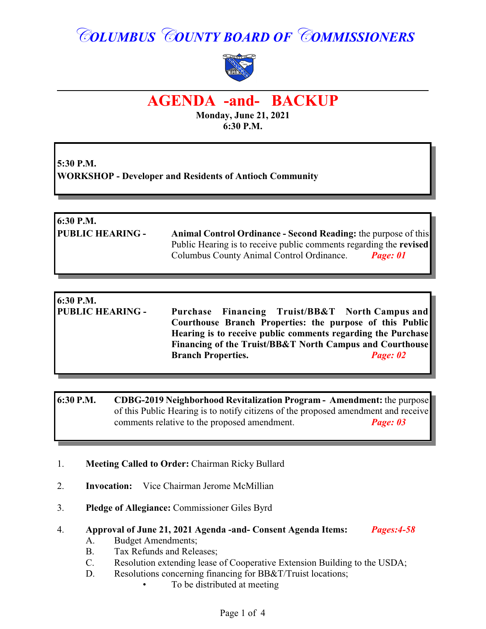# *COLUMBUS COUNTY BOARD OF COMMISSIONERS*



## **AGENDA -and- BACKUP**

**Monday, June 21, 2021 6:30 P.M.**

**5:30 P.M. WORKSHOP - Developer and Residents of Antioch Community**

### **6:30 P.M. PUBLIC HEARING - Animal Control Ordinance - Second Reading:** the purpose of this Public Hearing is to receive public comments regarding the **revised** Columbus County Animal Control Ordinance. *Page: 01*

#### **6:30 P.M. PUBLIC HEARING - Purchase Financing Truist/BB&T North Campus and Courthouse Branch Properties: the purpose of this Public Hearing is to receive public comments regarding the Purchase Financing of the Truist/BB&T North Campus and Courthouse Branch Properties.** *Page: 02*

#### **6:30 P.M. CDBG-2019 Neighborhood Revitalization Program - Amendment:** the purpose of this Public Hearing is to notify citizens of the proposed amendment and receive comments relative to the proposed amendment. *Page: 03*

#### 1. **Meeting Called to Order:** Chairman Ricky Bullard

- 2. **Invocation:** Vice Chairman Jerome McMillian
- 3. **Pledge of Allegiance:** Commissioner Giles Byrd

#### 4. **Approval of June 21, 2021 Agenda -and- Consent Agenda Items:** *Pages:4-58*

- A. Budget Amendments;
- B. Tax Refunds and Releases;
- C. Resolution extending lease of Cooperative Extension Building to the USDA;
- D. Resolutions concerning financing for BB&T/Truist locations;
	- To be distributed at meeting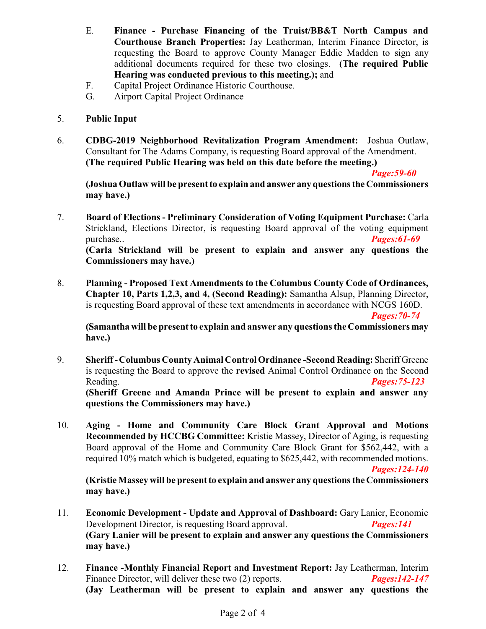- E. **Finance Purchase Financing of the Truist/BB&T North Campus and Courthouse Branch Properties:** Jay Leatherman, Interim Finance Director, is requesting the Board to approve County Manager Eddie Madden to sign any additional documents required for these two closings. **(The required Public Hearing was conducted previous to this meeting.);** and
- F. Capital Project Ordinance Historic Courthouse.
- G. Airport Capital Project Ordinance

#### 5. **Public Input**

6. **CDBG-2019 Neighborhood Revitalization Program Amendment:** Joshua Outlaw, Consultant for The Adams Company, is requesting Board approval of the Amendment. **(The required Public Hearing was held on this date before the meeting.)**

*Page:59-60*

**(Joshua Outlaw will be present to explain and answer any questions the Commissioners may have.)**

7. **Board of Elections - Preliminary Consideration of Voting Equipment Purchase:** Carla Strickland, Elections Director, is requesting Board approval of the voting equipment purchase.. *Pages:61-69* 

**(Carla Strickland will be present to explain and answer any questions the Commissioners may have.)**

8. **Planning - Proposed Text Amendments to the Columbus County Code of Ordinances, Chapter 10, Parts 1,2,3, and 4, (Second Reading):** Samantha Alsup, Planning Director, is requesting Board approval of these text amendments in accordance with NCGS 160D.

*Pages:70-74*

**(Samantha will be present to explain and answer any questions the Commissioners may have.)**

- 9. **Sheriff -Columbus County Animal Control Ordinance -Second Reading:**SheriffGreene is requesting the Board to approve the **revised** Animal Control Ordinance on the Second Reading. *Pages:75-123* **(Sheriff Greene and Amanda Prince will be present to explain and answer any questions the Commissioners may have.)**
- 10. **Aging Home and Community Care Block Grant Approval and Motions Recommended by HCCBG Committee:** Kristie Massey, Director of Aging, is requesting Board approval of the Home and Community Care Block Grant for \$562,442, with a required 10% match which is budgeted, equating to \$625,442, with recommended motions. *Pages:124-140*

**(Kristie Massey will be present to explain and answer any questions the Commissioners**

- **may have.)**
- 11. **Economic Development Update and Approval of Dashboard:** Gary Lanier, Economic Development Director, is requesting Board approval. *Pages:141* **(Gary Lanier will be present to explain and answer any questions the Commissioners may have.)**
- 12. **Finance -Monthly Financial Report and Investment Report:** Jay Leatherman, Interim Finance Director, will deliver these two (2) reports. *Pages:142-147* **(Jay Leatherman will be present to explain and answer any questions the**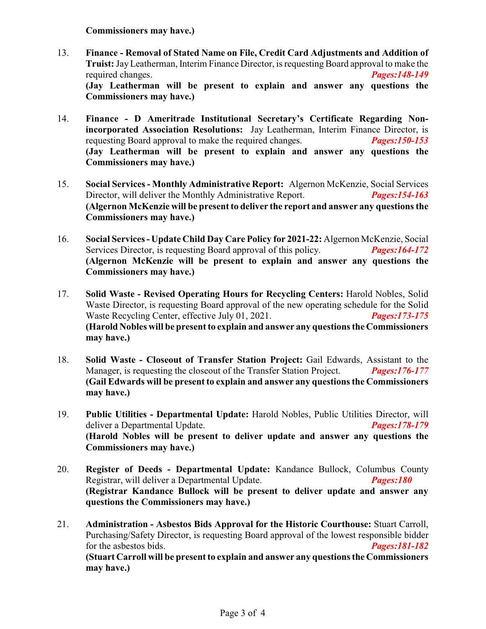**Commissioners may have.)**

- 13. **Finance Removal of Stated Name on File, Credit Card Adjustments and Addition of Truist:**JayLeatherman, Interim Finance Director, is requestingBoard approval to make the required changes. *Pages:148-149* **(Jay Leatherman will be present to explain and answer any questions the Commissioners may have.)**
- 14. **Finance D Ameritrade Institutional Secretary's Certificate Regarding Nonincorporated Association Resolutions:** Jay Leatherman, Interim Finance Director, is requesting Board approval to make the required changes. *Pages:150-153* **(Jay Leatherman will be present to explain and answer any questions the Commissioners may have.)**
- 15. **Social Services Monthly Administrative Report:** Algernon McKenzie, Social Services Director, will deliver the Monthly Administrative Report. *Pages:154-163* **(Algernon McKenzie will be present to deliver the report and answer any questions the Commissioners may have.)**
- 16. **Social Services Update Child Day Care Policy for 2021-22:** Algernon McKenzie, Social Services Director, is requesting Board approval of this policy. *Pages:164-172* **(Algernon McKenzie will be present to explain and answer any questions the Commissioners may have.)**
- 17. **Solid Waste Revised Operating Hours for Recycling Centers:** Harold Nobles, Solid Waste Director, is requesting Board approval of the new operating schedule for the Solid Waste Recycling Center, effective July 01, 2021. *Pages:173-175* **(Harold Nobles will be present to explain and answer any questions the Commissioners may have.)**
- 18. **Solid Waste Closeout of Transfer Station Project:** Gail Edwards, Assistant to the Manager, is requesting the closeout of the Transfer Station Project. *Pages:176-177* **(Gail Edwards will be present to explain and answer any questions the Commissioners may have.)**
- 19. **Public Utilities - Departmental Update:** Harold Nobles, Public Utilities Director, will deliver a Departmental Update. *Pages:178-179* **(Harold Nobles will be present to deliver update and answer any questions the Commissioners may have.)**
- 20. **Register of Deeds Departmental Update:** Kandance Bullock, Columbus County Registrar, will deliver a Departmental Update. *Pages:180* **(Registrar Kandance Bullock will be present to deliver update and answer any questions the Commissioners may have.)**
- 21. **Administration Asbestos Bids Approval for the Historic Courthouse:** Stuart Carroll, Purchasing/Safety Director, is requesting Board approval of the lowest responsible bidder for the asbestos bids. *Pages:181-182* **(Stuart Carroll will be present to explain and answer any questions the Commissioners may have.)**